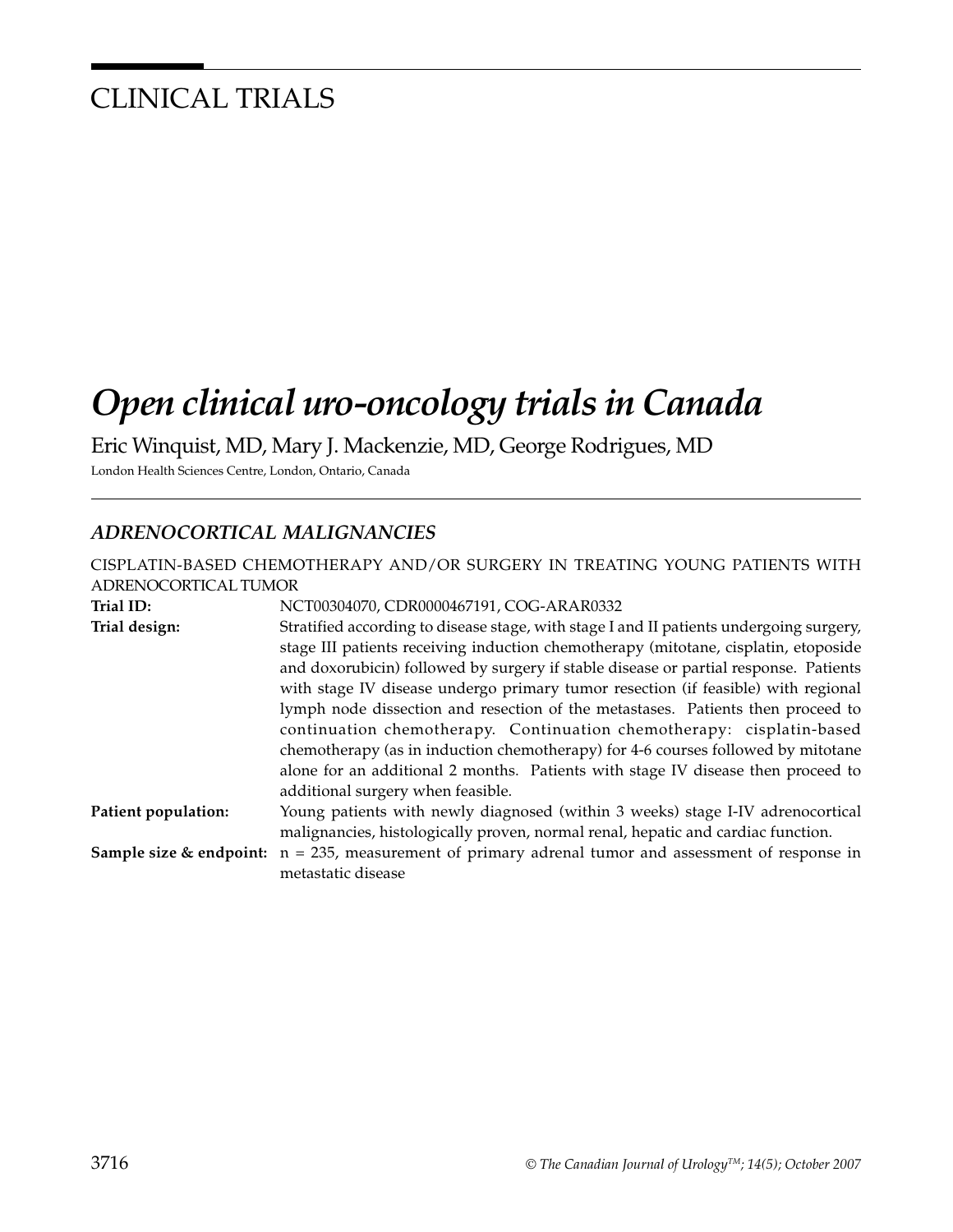# CLINICAL TRIALS

# *Open clinical uro-oncology trials in Canada*

Eric Winquist, MD, Mary J. Mackenzie, MD, George Rodrigues, MD

London Health Sciences Centre, London, Ontario, Canada

#### *ADRENOCORTICAL MALIGNANCIES*

| CISPLATIN-BASED CHEMOTHERAPY AND/OR SURGERY IN TREATING YOUNG PATIENTS WITH |                                                                                         |  |
|-----------------------------------------------------------------------------|-----------------------------------------------------------------------------------------|--|
| ADRENOCORTICAL TUMOR                                                        |                                                                                         |  |
| Trial ID:                                                                   | NCT00304070, CDR0000467191, COG-ARAR0332                                                |  |
| Trial design:                                                               | Stratified according to disease stage, with stage I and II patients undergoing surgery, |  |
|                                                                             | stage III patients receiving induction chemotherapy (mitotane, cisplatin, etoposide     |  |
|                                                                             | and doxorubicin) followed by surgery if stable disease or partial response. Patients    |  |
|                                                                             | with stage IV disease undergo primary tumor resection (if feasible) with regional       |  |
|                                                                             | lymph node dissection and resection of the metastases. Patients then proceed to         |  |
|                                                                             | continuation chemotherapy. Continuation chemotherapy: cisplatin-based                   |  |
|                                                                             | chemotherapy (as in induction chemotherapy) for 4-6 courses followed by mitotane        |  |
|                                                                             | alone for an additional 2 months. Patients with stage IV disease then proceed to        |  |
|                                                                             | additional surgery when feasible.                                                       |  |
| Patient population:                                                         | Young patients with newly diagnosed (within 3 weeks) stage I-IV adrenocortical          |  |
|                                                                             | malignancies, histologically proven, normal renal, hepatic and cardiac function.        |  |
| Sample size & endpoint:                                                     | $n = 235$ , measurement of primary adrenal tumor and assessment of response in          |  |
|                                                                             | metastatic disease                                                                      |  |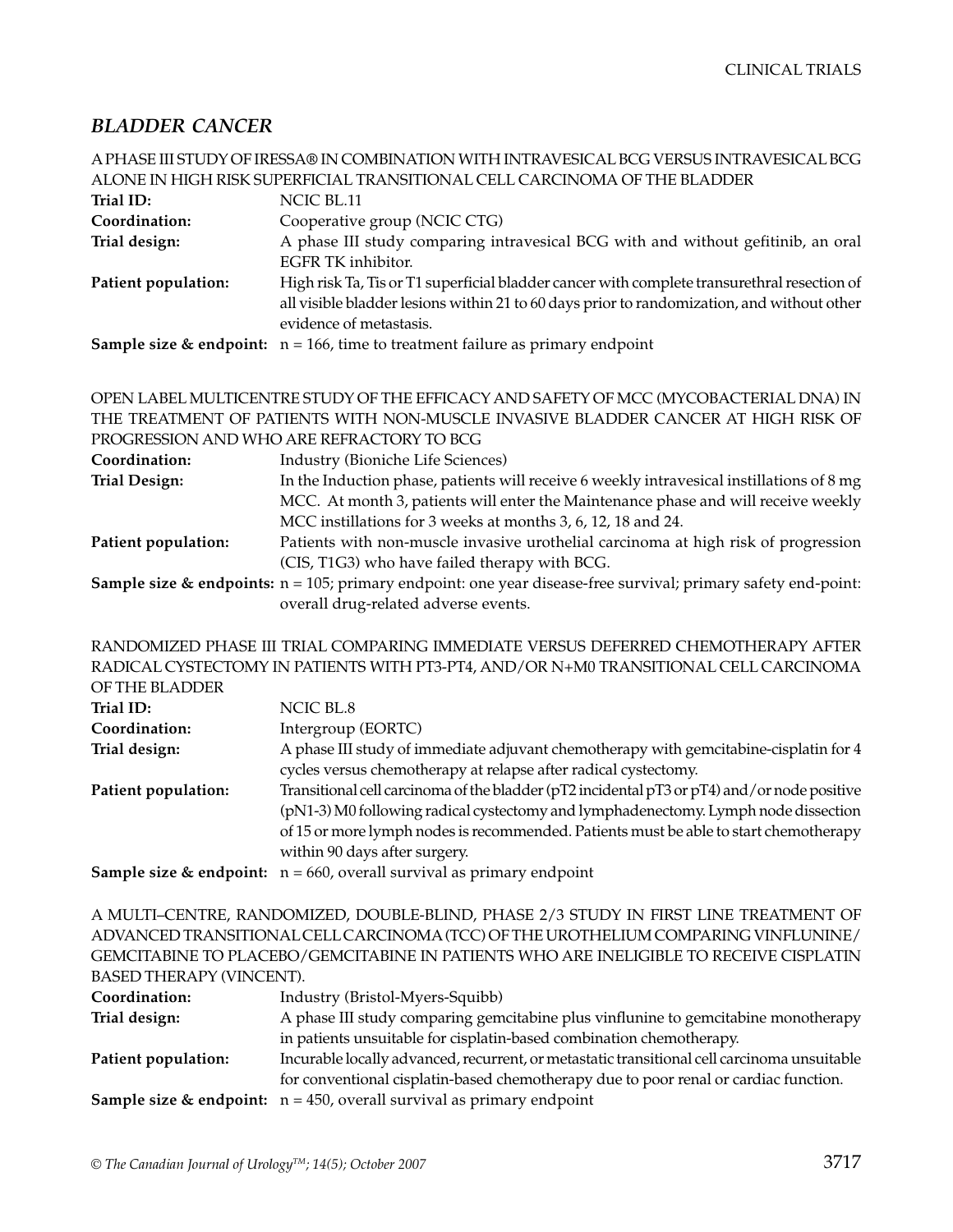#### *BLADDER CANCER*

|                     | A PHASE III STUDY OF IRESSA® IN COMBINATION WITH INTRAVESICAL BCG VERSUS INTRAVESICAL BCG    |
|---------------------|----------------------------------------------------------------------------------------------|
|                     | ALONE IN HIGH RISK SUPERFICIAL TRANSITIONAL CELL CARCINOMA OF THE BLADDER                    |
| Trial ID:           | NCIC BL.11                                                                                   |
| Coordination:       | Cooperative group (NCIC CTG)                                                                 |
| Trial design:       | A phase III study comparing intravesical BCG with and without gefitinib, an oral             |
|                     | EGFR TK inhibitor.                                                                           |
| Patient population: | High risk Ta, Tis or T1 superficial bladder cancer with complete transurethral resection of  |
|                     | all visible bladder lesions within 21 to 60 days prior to randomization, and without other   |
|                     | evidence of metastasis.                                                                      |
|                     | <b>Sample size &amp; endpoint:</b> $n = 166$ , time to treatment failure as primary endpoint |
|                     |                                                                                              |

OPEN LABEL MULTICENTRE STUDY OF THE EFFICACY AND SAFETY OF MCC (MYCOBACTERIAL DNA) IN THE TREATMENT OF PATIENTS WITH NON-MUSCLE INVASIVE BLADDER CANCER AT HIGH RISK OF PROGRESSION AND WHO ARE REFRACTORY TO BCG

| Coordination:        | Industry (Bioniche Life Sciences)                                                                                           |
|----------------------|-----------------------------------------------------------------------------------------------------------------------------|
| <b>Trial Design:</b> | In the Induction phase, patients will receive 6 weekly intravesical instillations of $8 \text{ mg}$                         |
|                      | MCC. At month 3, patients will enter the Maintenance phase and will receive weekly                                          |
|                      | MCC instillations for 3 weeks at months 3, 6, 12, 18 and 24.                                                                |
| Patient population:  | Patients with non-muscle invasive urothelial carcinoma at high risk of progression                                          |
|                      | (CIS, T1G3) who have failed therapy with BCG.                                                                               |
|                      | <b>Sample size &amp; endpoints:</b> $n = 105$ ; primary endpoint: one year disease-free survival; primary safety end-point: |
|                      | overall drug-related adverse events.                                                                                        |

RANDOMIZED PHASE III TRIAL COMPARING IMMEDIATE VERSUS DEFERRED CHEMOTHERAPY AFTER RADICAL CYSTECTOMY IN PATIENTS WITH PT3-PT4, AND/OR N+M0 TRANSITIONAL CELL CARCINOMA  $\overline{ }$  of  $\overline{ }$   $\overline{ }$   $\overline{ }$   $\overline{ }$   $\overline{ }$   $\overline{ }$   $\overline{ }$   $\overline{ }$   $\overline{ }$   $\overline{ }$   $\overline{ }$   $\overline{ }$   $\overline{ }$   $\overline{ }$   $\overline{ }$   $\overline{ }$   $\overline{ }$   $\overline{ }$   $\overline{ }$   $\overline{ }$   $\overline{ }$   $\overline{ }$   $\overline{ }$   $\overline{ }$   $\overline{ }$   $\overline{ }$   $\$ 

| OF THE BLADDER      |                                                                                                                                                                                                                                                                                                             |
|---------------------|-------------------------------------------------------------------------------------------------------------------------------------------------------------------------------------------------------------------------------------------------------------------------------------------------------------|
| Trial ID:           | NCIC BL.8                                                                                                                                                                                                                                                                                                   |
| Coordination:       | Intergroup (EORTC)                                                                                                                                                                                                                                                                                          |
| Trial design:       | A phase III study of immediate adjuvant chemotherapy with gemcitabine-cisplatin for 4<br>cycles versus chemotherapy at relapse after radical cystectomy.                                                                                                                                                    |
| Patient population: | Transitional cell carcinoma of the bladder (pT2 incidental pT3 or pT4) and/or node positive<br>(pN1-3) M0 following radical cystectomy and lymphadenectomy. Lymph node dissection<br>of 15 or more lymph nodes is recommended. Patients must be able to start chemotherapy<br>within 90 days after surgery. |
|                     | <b>Sample size &amp; endpoint:</b> $n = 660$ , overall survival as primary endpoint                                                                                                                                                                                                                         |

A MULTI–CENTRE, RANDOMIZED, DOUBLE-BLIND, PHASE 2/3 STUDY IN FIRST LINE TREATMENT OF ADVANCED TRANSITIONAL CELL CARCINOMA (TCC) OF THE UROTHELIUM COMPARING VINFLUNINE/ GEMCITABINE TO PLACEBO/GEMCITABINE IN PATIENTS WHO ARE INELIGIBLE TO RECEIVE CISPLATIN BASED THERAPY (VINCENT).

| Industry (Bristol-Myers-Squibb)                                                             |
|---------------------------------------------------------------------------------------------|
| A phase III study comparing gemcitabine plus vinflunine to gemcitabine monotherapy          |
| in patients unsuitable for cisplatin-based combination chemotherapy.                        |
| Incurable locally advanced, recurrent, or metastatic transitional cell carcinoma unsuitable |
| for conventional cisplatin-based chemotherapy due to poor renal or cardiac function.        |
| <b>Sample size &amp; endpoint:</b> $n = 450$ , overall survival as primary endpoint         |
|                                                                                             |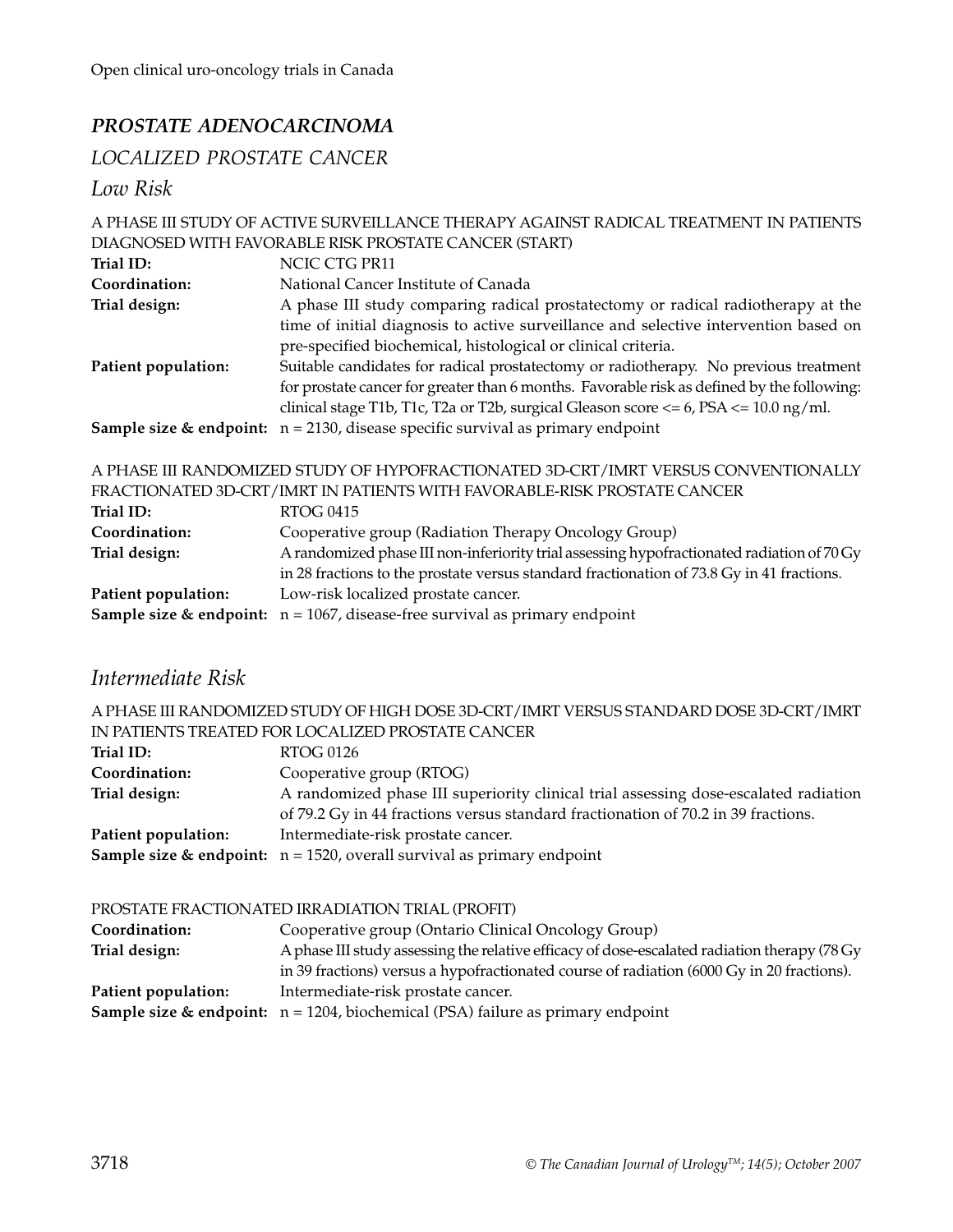## *PROSTATE ADENOCARCINOMA*

## *LOCALIZED PROSTATE CANCER*

*Low Risk*

|                     | A PHASE III STUDY OF ACTIVE SURVEILLANCE THERAPY AGAINST RADICAL TREATMENT IN PATIENTS         |
|---------------------|------------------------------------------------------------------------------------------------|
|                     | DIAGNOSED WITH FAVORABLE RISK PROSTATE CANCER (START)                                          |
| Trial ID:           | NCIC CTG PR11                                                                                  |
| Coordination:       | National Cancer Institute of Canada                                                            |
| Trial design:       | A phase III study comparing radical prostatectomy or radical radiotherapy at the               |
|                     | time of initial diagnosis to active surveillance and selective intervention based on           |
|                     | pre-specified biochemical, histological or clinical criteria.                                  |
| Patient population: | Suitable candidates for radical prostatectomy or radiotherapy. No previous treatment           |
|                     | for prostate cancer for greater than 6 months. Favorable risk as defined by the following:     |
|                     | clinical stage T1b, T1c, T2a or T2b, surgical Gleason score $\lt$ = 6, PSA $\lt$ = 10.0 ng/ml. |
|                     | <b>Sample size &amp; endpoint:</b> $n = 2130$ , disease specific survival as primary endpoint  |
|                     | A PHASE III RANDOMIZED STUDY OF HYPOFRACTIONATED 3D-CRT/IMRT VERSUS CONVENTIONALLY             |
|                     | FRACTIONATED 3D-CRT/IMRT IN PATIENTS WITH FAVORABLE-RISK PROSTATE CANCER                       |
| Trial ID:           | <b>RTOG 0415</b>                                                                               |
| Coordination:       | Cooperative group (Radiation Therapy Oncology Group)                                           |
| Trial design:       | A randomized phase III non-inferiority trial assessing hypofractionated radiation of 70 Gy     |
|                     | in 28 fractions to the prostate versus standard fractionation of 73.8 Gy in 41 fractions.      |
| Patient population: | Low-risk localized prostate cancer.                                                            |
|                     | <b>Sample size &amp; endpoint:</b> $n = 1067$ , disease-free survival as primary endpoint      |

# *Intermediate Risk*

A PHASE III RANDOMIZED STUDY OF HIGH DOSE 3D-CRT/IMRT VERSUS STANDARD DOSE 3D-CRT/IMRT IN PATIENTS TREATED FOR LOCALIZED PROSTATE CANCER

| Trial ID:<br>Coordination: | RTOG 0126<br>Cooperative group (RTOG)                                                                                   |
|----------------------------|-------------------------------------------------------------------------------------------------------------------------|
| Trial design:              | A randomized phase III superiority clinical trial assessing dose-escalated radiation                                    |
| Patient population:        | of 79.2 Gy in 44 fractions versus standard fractionation of 70.2 in 39 fractions.<br>Intermediate-risk prostate cancer. |
|                            | <b>Sample size &amp; endpoint:</b> $n = 1520$ , overall survival as primary endpoint                                    |

#### PROSTATE FRACTIONATED IRRADIATION TRIAL (PROFIT)

| Coordination:       | Cooperative group (Ontario Clinical Oncology Group)                                           |
|---------------------|-----------------------------------------------------------------------------------------------|
| Trial design:       | A phase III study assessing the relative efficacy of dose-escalated radiation therapy (78 Gy) |
|                     | in 39 fractions) versus a hypofractionated course of radiation (6000 Gy in 20 fractions).     |
| Patient population: | Intermediate-risk prostate cancer.                                                            |
|                     | <b>Sample size &amp; endpoint:</b> $n = 1204$ , biochemical (PSA) failure as primary endpoint |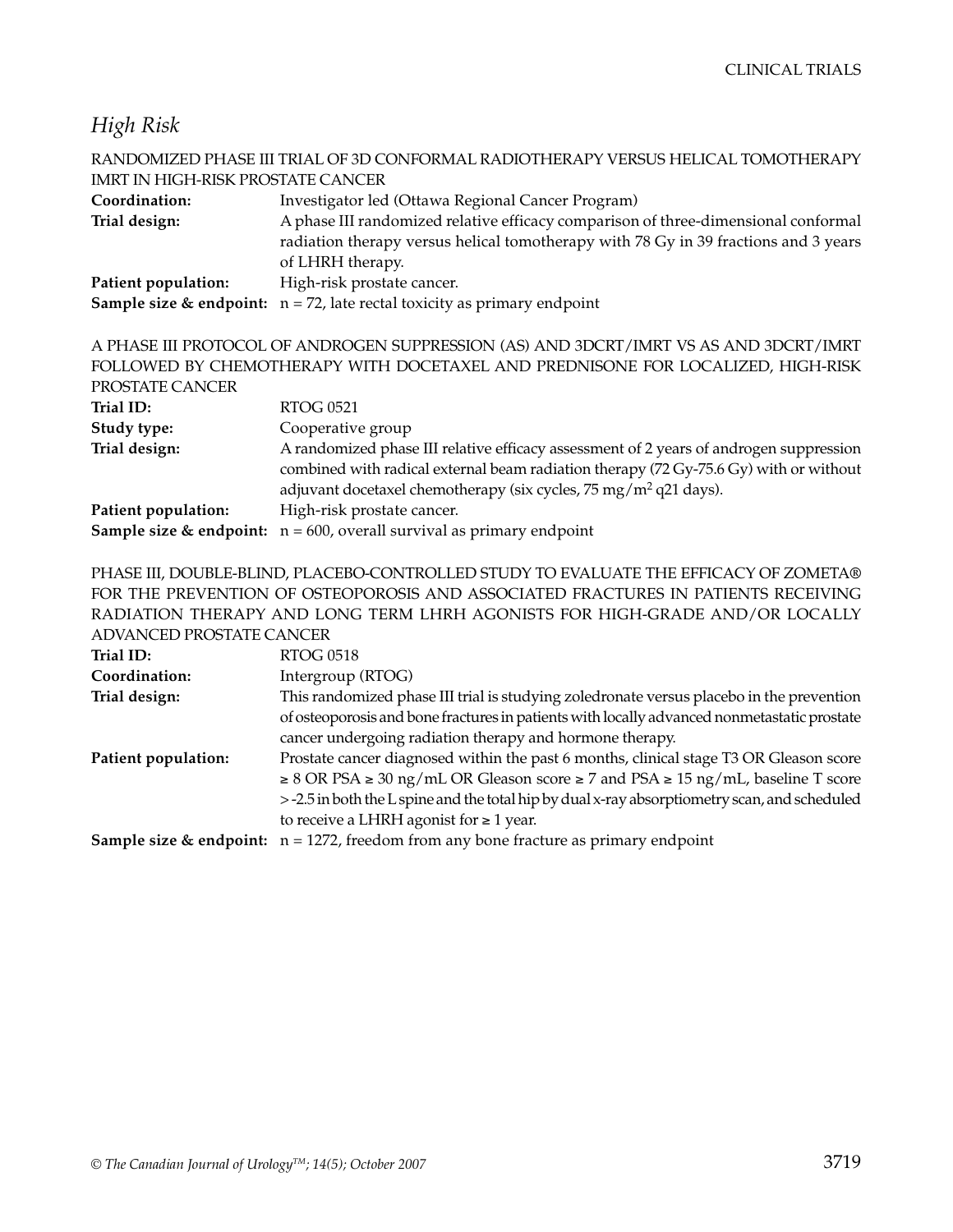#### *High Risk*

|                                          | RANDOMIZED PHASE III TRIAL OF 3D CONFORMAL RADIOTHERAPY VERSUS HELICAL TOMOTHERAPY                                                                                       |
|------------------------------------------|--------------------------------------------------------------------------------------------------------------------------------------------------------------------------|
| <b>IMRT IN HIGH-RISK PROSTATE CANCER</b> |                                                                                                                                                                          |
| Coordination:                            | Investigator led (Ottawa Regional Cancer Program)                                                                                                                        |
| Trial design:                            | A phase III randomized relative efficacy comparison of three-dimensional conformal                                                                                       |
|                                          | radiation therapy versus helical tomotherapy with 78 Gy in 39 fractions and 3 years                                                                                      |
|                                          | of LHRH therapy.                                                                                                                                                         |
| Patient population:                      | High-risk prostate cancer.                                                                                                                                               |
|                                          | <b>Sample size &amp; endpoint:</b> $n = 72$ , late rectal toxicity as primary endpoint                                                                                   |
| PROSTATE CANCER                          | A PHASE III PROTOCOL OF ANDROGEN SUPPRESSION (AS) AND 3DCRT/IMRT VS AS AND 3DCRT/IMRT<br>FOLLOWED BY CHEMOTHERAPY WITH DOCETAXEL AND PREDNISONE FOR LOCALIZED, HIGH-RISK |
| Trial ID:                                | <b>RTOG 0521</b>                                                                                                                                                         |
| Study type:                              | Cooperative group                                                                                                                                                        |
| Trial design:                            | A randomized phase III relative efficacy assessment of 2 years of androgen suppression                                                                                   |
|                                          | combined with radical external beam radiation therapy (72 Gy-75.6 Gy) with or without<br>adjuvant docetaxel chemotherapy (six cycles, 75 mg/m <sup>2</sup> q21 days).    |
|                                          |                                                                                                                                                                          |
| Patient population:                      | High-risk prostate cancer.                                                                                                                                               |
|                                          | <b>Sample size &amp; endpoint:</b> $n = 600$ , overall survival as primary endpoint                                                                                      |

PHASE III, DOUBLE-BLIND, PLACEBO-CONTROLLED STUDY TO EVALUATE THE EFFICACY OF ZOMETA® FOR THE PREVENTION OF OSTEOPOROSIS AND ASSOCIATED FRACTURES IN PATIENTS RECEIVING RADIATION THERAPY AND LONG TERM LHRH AGONISTS FOR HIGH-GRADE AND/OR LOCALLY ADVANCED PROSTATE CANCER

| Trial ID:           | <b>RTOG 0518</b>                                                                                    |
|---------------------|-----------------------------------------------------------------------------------------------------|
| Coordination:       | Intergroup (RTOG)                                                                                   |
| Trial design:       | This randomized phase III trial is studying zoledronate versus placebo in the prevention            |
|                     | of osteoporosis and bone fractures in patients with locally advanced nonmetastatic prostate         |
|                     | cancer undergoing radiation therapy and hormone therapy.                                            |
| Patient population: | Prostate cancer diagnosed within the past 6 months, clinical stage T3 OR Gleason score              |
|                     | $\geq 8$ OR PSA $\geq 30$ ng/mL OR Gleason score $\geq 7$ and PSA $\geq 15$ ng/mL, baseline T score |
|                     | > -2.5 in both the L spine and the total hip by dual x-ray absorptiometry scan, and scheduled       |
|                     | to receive a LHRH agonist for $\geq 1$ year.                                                        |
|                     | <b>Sample size &amp; endpoint:</b> $n = 1272$ , freedom from any bone fracture as primary endpoint  |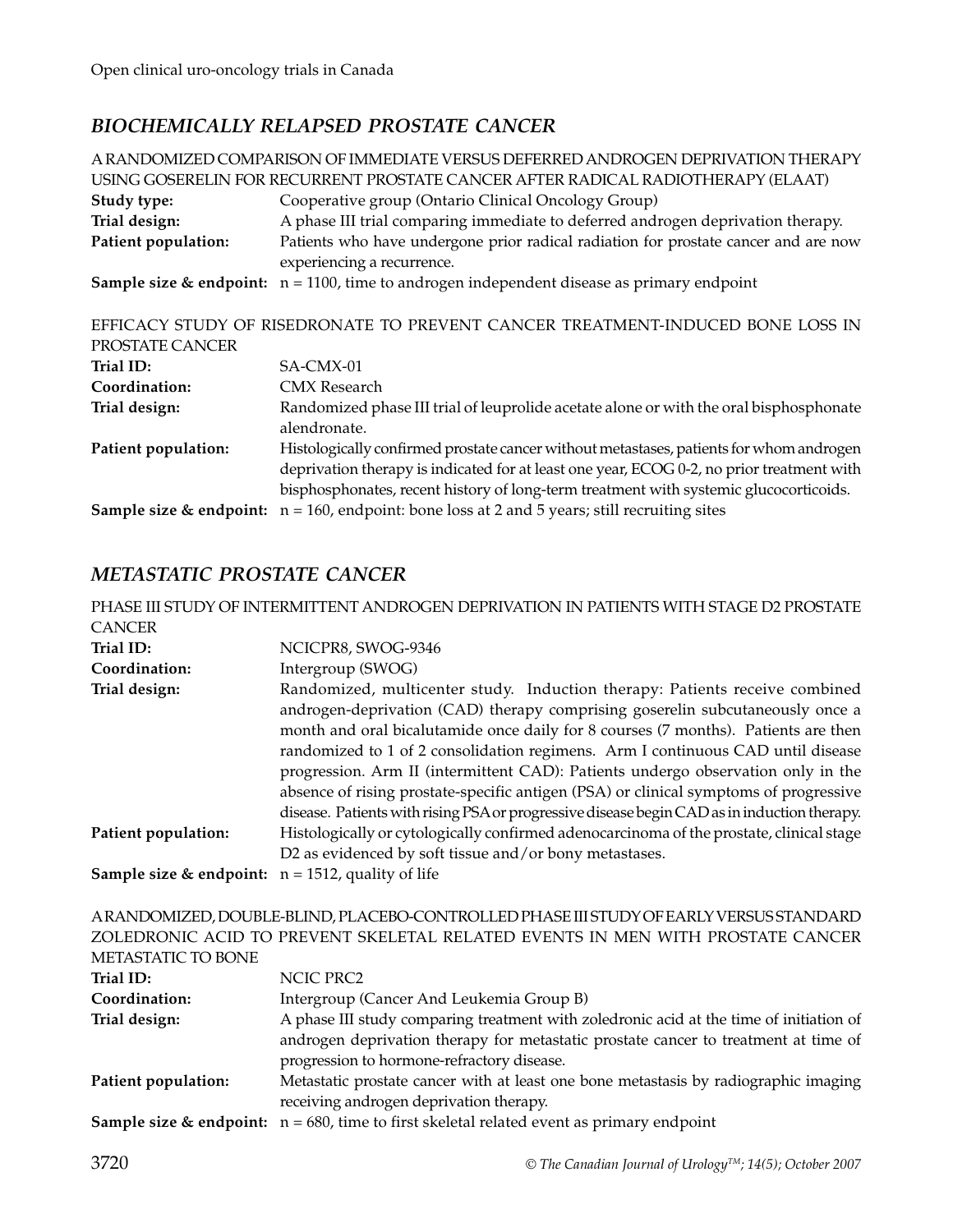#### *BIOCHEMICALLY RELAPSED PROSTATE CANCER*

A RANDOMIZED COMPARISON OF IMMEDIATE VERSUS DEFERRED ANDROGEN DEPRIVATION THERAPY USING GOSERELIN FOR RECURRENT PROSTATE CANCER AFTER RADICAL RADIOTHERAPY (ELAAT) **Study type:** Cooperative group (Ontario Clinical Oncology Group) **Trial design:** A phase III trial comparing immediate to deferred androgen deprivation therapy. **Patient population:** Patients who have undergone prior radical radiation for prostate cancer and are now experiencing a recurrence. **Sample size & endpoint:**  $n = 1100$ , time to androgen independent disease as primary endpoint EFFICACY STUDY OF RISEDRONATE TO PREVENT CANCER TREATMENT-INDUCED BONE LOSS IN PROSTATE CANCER Trial ID: SA-CMX-01 **Coordination:** CMX Research **Trial design:** Randomized phase III trial of leuprolide acetate alone or with the oral bisphosphonate alendronate. **Patient population:** Histologically confirmed prostate cancer without metastases, patients for whom androgen deprivation therapy is indicated for at least one year, ECOG 0-2, no prior treatment with bisphosphonates, recent history of long-term treatment with systemic glucocorticoids. **Sample size & endpoint:**  $n = 160$ , endpoint: bone loss at 2 and 5 years; still recruiting sites

#### *METASTATIC PROSTATE CANCER*

|                                                                 | PHASE III STUDY OF INTERMITTENT ANDROGEN DEPRIVATION IN PATIENTS WITH STAGE D2 PROSTATE                                                                                                                                                                                                                                                                                                                                                                                                                                                                                                                           |
|-----------------------------------------------------------------|-------------------------------------------------------------------------------------------------------------------------------------------------------------------------------------------------------------------------------------------------------------------------------------------------------------------------------------------------------------------------------------------------------------------------------------------------------------------------------------------------------------------------------------------------------------------------------------------------------------------|
| <b>CANCER</b>                                                   |                                                                                                                                                                                                                                                                                                                                                                                                                                                                                                                                                                                                                   |
| Trial ID:                                                       | NCICPR8, SWOG-9346                                                                                                                                                                                                                                                                                                                                                                                                                                                                                                                                                                                                |
| Coordination:                                                   | Intergroup (SWOG)                                                                                                                                                                                                                                                                                                                                                                                                                                                                                                                                                                                                 |
| Trial design:                                                   | Randomized, multicenter study. Induction therapy: Patients receive combined<br>androgen-deprivation (CAD) therapy comprising goserelin subcutaneously once a<br>month and oral bicalutamide once daily for 8 courses (7 months). Patients are then<br>randomized to 1 of 2 consolidation regimens. Arm I continuous CAD until disease<br>progression. Arm II (intermittent CAD): Patients undergo observation only in the<br>absence of rising prostate-specific antigen (PSA) or clinical symptoms of progressive<br>disease. Patients with rising PSA or progressive disease begin CAD as in induction therapy. |
| Patient population:                                             | Histologically or cytologically confirmed adenocarcinoma of the prostate, clinical stage<br>D2 as evidenced by soft tissue and/or bony metastases.                                                                                                                                                                                                                                                                                                                                                                                                                                                                |
| <b>Sample size &amp; endpoint:</b> $n = 1512$ , quality of life |                                                                                                                                                                                                                                                                                                                                                                                                                                                                                                                                                                                                                   |
|                                                                 | ARANDOMIZED, DOUBLE-BLIND, PLACEBO-CONTROLLED PHASE III STUDY OF EARLY VERSUS STANDARD                                                                                                                                                                                                                                                                                                                                                                                                                                                                                                                            |
|                                                                 | ZOLEDRONIC ACID TO PREVENT SKELETAL RELATED EVENTS IN MEN WITH PROSTATE CANCER                                                                                                                                                                                                                                                                                                                                                                                                                                                                                                                                    |

| METASTATIC TO BONE  |                                                                                                         |
|---------------------|---------------------------------------------------------------------------------------------------------|
| Trial ID:           | NCIC PRC2                                                                                               |
| Coordination:       | Intergroup (Cancer And Leukemia Group B)                                                                |
| Trial design:       | A phase III study comparing treatment with zoledronic acid at the time of initiation of                 |
|                     | androgen deprivation therapy for metastatic prostate cancer to treatment at time of                     |
|                     | progression to hormone-refractory disease.                                                              |
| Patient population: | Metastatic prostate cancer with at least one bone metastasis by radiographic imaging                    |
|                     | receiving androgen deprivation therapy.                                                                 |
|                     | <b>Sample size &amp; endpoint:</b> $n = 680$ , time to first skeletal related event as primary endpoint |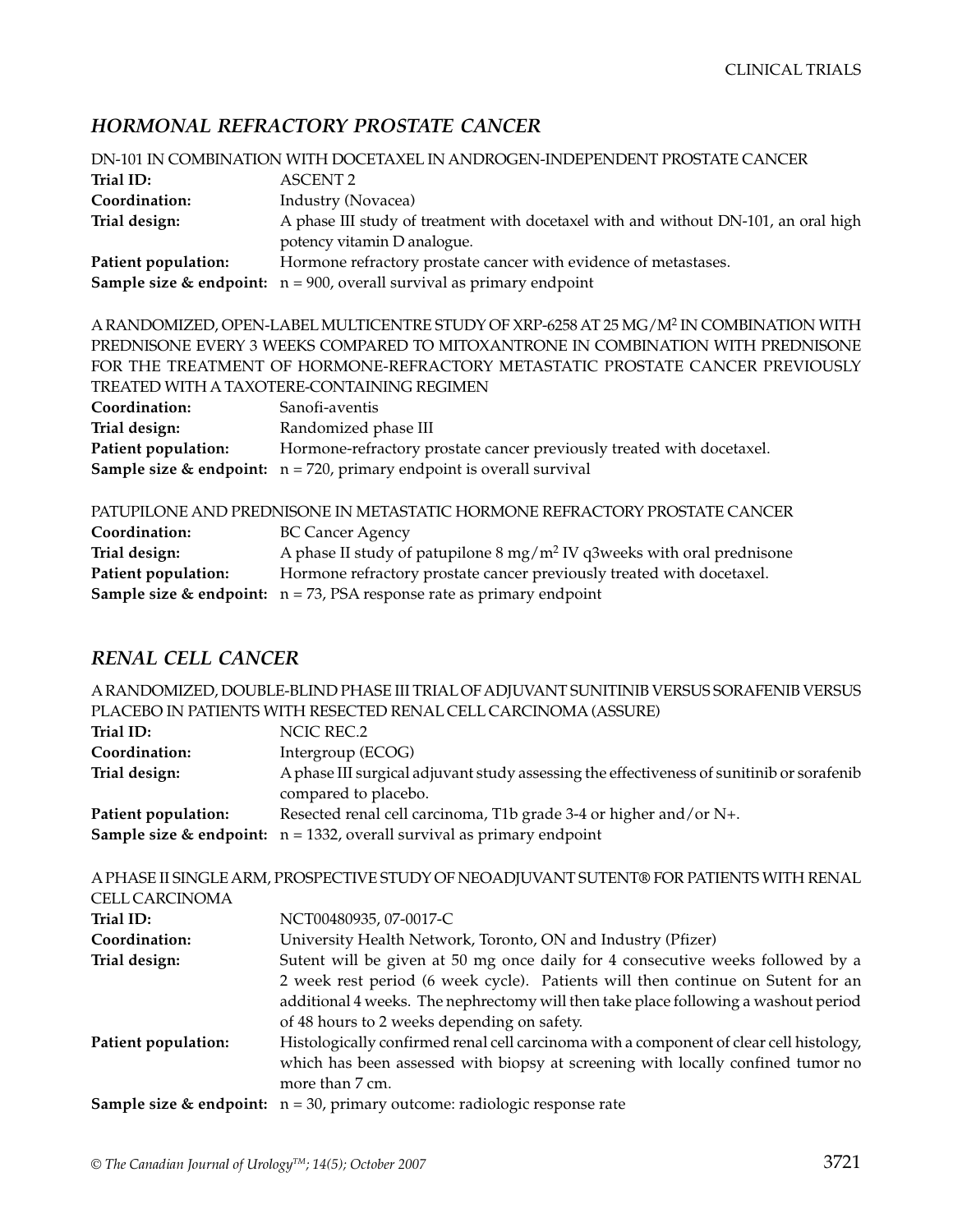## *HORMONAL REFRACTORY PROSTATE CANCER*

| DN-101 IN COMBINATION WITH DOCETAXEL IN ANDROGEN-INDEPENDENT PROSTATE CANCER |                                                                                                    |  |
|------------------------------------------------------------------------------|----------------------------------------------------------------------------------------------------|--|
| Trial ID:                                                                    | <b>ASCENT 2</b>                                                                                    |  |
| Coordination:                                                                | Industry (Novacea)                                                                                 |  |
| Trial design:                                                                | A phase III study of treatment with docetaxel with and without DN-101, an oral high                |  |
|                                                                              | potency vitamin D analogue.                                                                        |  |
| Patient population:                                                          | Hormone refractory prostate cancer with evidence of metastases.                                    |  |
|                                                                              | <b>Sample size &amp; endpoint:</b> $n = 900$ , overall survival as primary endpoint                |  |
|                                                                              | A RANDOMIZED, OPEN-LABEL MULTICENTRE STUDY OF XRP-6258 AT 25 MG/M <sup>2</sup> IN COMBINATION WITH |  |
|                                                                              | PREDNISONE EVERY 3 WEEKS COMPARED TO MITOXANTRONE IN COMBINATION WITH PREDNISONE                   |  |
|                                                                              | FOR THE TREATMENT OF HORMONE-REFRACTORY METASTATIC PROSTATE CANCER PREVIOUSLY                      |  |
| TREATED WITH A TAXOTERE-CONTAINING REGIMEN                                   |                                                                                                    |  |
| Coordination:                                                                | Sanofi-aventis                                                                                     |  |
| Trial design:                                                                | Randomized phase III                                                                               |  |
| <b>Patient population:</b>                                                   | Hormone-refractory prostate cancer previously treated with docetaxel.                              |  |
|                                                                              | <b>Sample size &amp; endpoint:</b> $n = 720$ , primary endpoint is overall survival                |  |
| PATUPILONE AND PREDNISONE IN METASTATIC HORMONE REFRACTORY PROSTATE CANCER   |                                                                                                    |  |
| Coordination:                                                                | <b>BC Cancer Agency</b>                                                                            |  |
| Trial design:                                                                | A phase II study of patupilone $8 \text{ mg/m}^2$ IV q3weeks with oral prednisone                  |  |
| <b>Patient population:</b>                                                   | Hormone refractory prostate cancer previously treated with docetaxel.                              |  |
|                                                                              | <b>Sample size &amp; endpoint:</b> $n = 73$ , PSA response rate as primary endpoint                |  |
|                                                                              |                                                                                                    |  |

#### *RENAL CELL CANCER*

| A RANDOMIZED, DOUBLE-BLIND PHASE III TRIAL OF ADJUVANT SUNITINIB VERSUS SORAFENIB VERSUS |                                                                                                                                                                                               |  |
|------------------------------------------------------------------------------------------|-----------------------------------------------------------------------------------------------------------------------------------------------------------------------------------------------|--|
|                                                                                          | PLACEBO IN PATIENTS WITH RESECTED RENAL CELL CARCINOMA (ASSURE)                                                                                                                               |  |
| Trial ID:                                                                                | <b>NCIC REC.2</b>                                                                                                                                                                             |  |
| Coordination:                                                                            | Intergroup (ECOG)                                                                                                                                                                             |  |
| Trial design:                                                                            | A phase III surgical adjuvant study assessing the effectiveness of sunitinib or sorafenib<br>compared to placebo.                                                                             |  |
| Patient population:                                                                      | Resected renal cell carcinoma, T1b grade 3-4 or higher and/or N+.                                                                                                                             |  |
|                                                                                          | <b>Sample size &amp; endpoint:</b> $n = 1332$ , overall survival as primary endpoint                                                                                                          |  |
|                                                                                          | A PHASE II SINGLE ARM, PROSPECTIVE STUDY OF NEOADJUVANT SUTENT® FOR PATIENTS WITH RENAL                                                                                                       |  |
| <b>CELL CARCINOMA</b>                                                                    |                                                                                                                                                                                               |  |
| Trial ID:                                                                                | NCT00480935, 07-0017-C                                                                                                                                                                        |  |
| Coordination:                                                                            | University Health Network, Toronto, ON and Industry (Pfizer)                                                                                                                                  |  |
| Trial design:                                                                            | Sutent will be given at 50 mg once daily for 4 consecutive weeks followed by a                                                                                                                |  |
|                                                                                          | 2 week rest period (6 week cycle). Patients will then continue on Sutent for an                                                                                                               |  |
|                                                                                          | additional 4 weeks. The nephrectomy will then take place following a washout period                                                                                                           |  |
|                                                                                          | of 48 hours to 2 weeks depending on safety.                                                                                                                                                   |  |
| Patient population:                                                                      | Histologically confirmed renal cell carcinoma with a component of clear cell histology,<br>which has been assessed with biopsy at screening with locally confined tumor no<br>more than 7 cm. |  |
|                                                                                          | <b>Sample size &amp; endpoint:</b> $n = 30$ , primary outcome: radiologic response rate                                                                                                       |  |